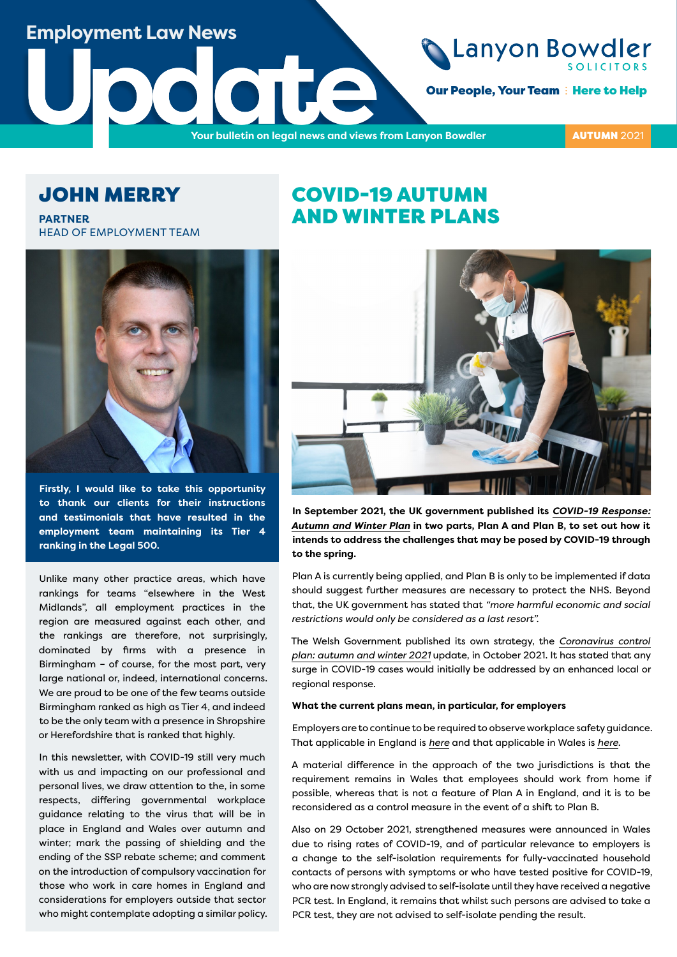## **Employment Law News**

**Our People, Your Team : Here to Help** 

**UPDATE OUTDATE OUTDATE OUTDATE OUTDATE OUTDATE OUTDATE OUTDATE OUTDATE OUTDATE OUTDATE OUTDATE OUTDATE OUTDATE OUTDATE OUTDATE OUTDATE OUTDATE OUTDATE OUTDATE OUTDATE OUTDATE OUTDATE OUTDATE OUTDATE OUTDATE OUTDATE OUTDAT** 

**AUTUMN 2021** 

## JOHN MERRY

**PARTNER** HEAD OF EMPLOYMENT TEAM



**Firstly, I would like to take this opportunity to thank our clients for their instructions and testimonials that have resulted in the employment team maintaining its Tier 4 ranking in the Legal 500.**

Unlike many other practice areas, which have rankings for teams "elsewhere in the West Midlands", all employment practices in the region are measured against each other, and the rankings are therefore, not surprisingly, dominated by firms with a presence in Birmingham – of course, for the most part, very large national or, indeed, international concerns. We are proud to be one of the few teams outside Birmingham ranked as high as Tier 4, and indeed to be the only team with a presence in Shropshire or Herefordshire that is ranked that highly.

In this newsletter, with COVID-19 still very much with us and impacting on our professional and personal lives, we draw attention to the, in some respects, differing governmental workplace guidance relating to the virus that will be in place in England and Wales over autumn and winter; mark the passing of shielding and the ending of the SSP rebate scheme; and comment on the introduction of compulsory vaccination for those who work in care homes in England and considerations for employers outside that sector who might contemplate adopting a similar policy.

## COVID-19 AUTUMN AND WINTER PLANS



**In September 2021, the UK government published its** *[COVID-19 Response:](https://www.gov.uk/government/publications/covid-19-response-autumn-and-winter-plan-2021)  [Autumn and Winter Plan](https://www.gov.uk/government/publications/covid-19-response-autumn-and-winter-plan-2021)* **in two parts, Plan A and Plan B, to set out how it intends to address the challenges that may be posed by COVID-19 through to the spring.**

Plan A is currently being applied, and Plan B is only to be implemented if data should suggest further measures are necessary to protect the NHS. Beyond that, the UK government has stated that *"more harmful economic and social restrictions would only be considered as a last resort".*

The Welsh Government published its own strategy, the *[Coronavirus control](https://gov.wales/coronavirus-control-plan-autumn-and-winter-2021-update)  [plan: autumn and winter 2021](https://gov.wales/coronavirus-control-plan-autumn-and-winter-2021-update)* update, in October 2021. It has stated that any surge in COVID-19 cases would initially be addressed by an enhanced local or regional response.

#### **What the current plans mean, in particular, for employers**

Employers are to continue to be required to observe workplace safety guidance. That applicable in England is *[here](https://www.gov.uk/guidance/working-safely-during-covid-19)* and that applicable in Wales is *[here](https://gov.wales/alert-level-0-guidance-employers-businesses-and-organisations-html)*.

A material difference in the approach of the two jurisdictions is that the requirement remains in Wales that employees should work from home if possible, whereas that is not a feature of Plan A in England, and it is to be reconsidered as a control measure in the event of a shift to Plan B.

Also on 29 October 2021, strengthened measures were announced in Wales due to rising rates of COVID-19, and of particular relevance to employers is a change to the self-isolation requirements for fully-vaccinated household contacts of persons with symptoms or who have tested positive for COVID-19, who are now strongly advised to self-isolate until they have received a negative PCR test. In England, it remains that whilst such persons are advised to take a PCR test, they are not advised to self-isolate pending the result.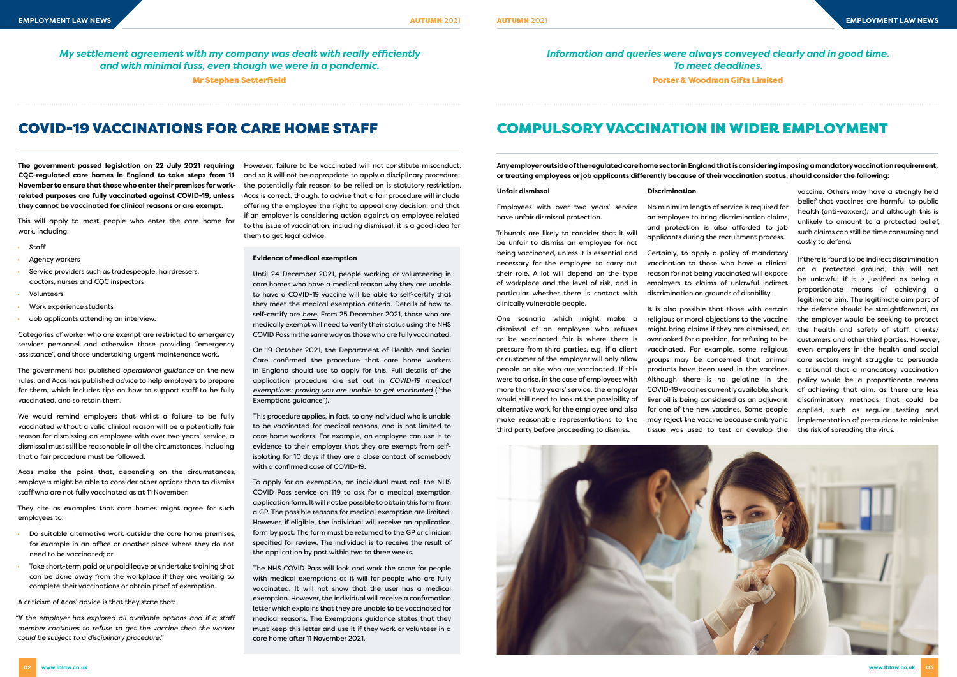# COVID-19 VACCINATIONS FOR CARE HOME STAFF COMPULSORY VACCINATION IN WIDER EMPLOYMENT

*My settlement agreement with my company was dealt with really efficiently and with minimal fuss, even though we were in a pandemic.*

Mr Stephen Setterfield

*Information and queries were always conveyed clearly and in good time. To meet deadlines.* Porter & Woodman Gifts Limited

**The government passed legislation on 22 July 2021 requiring CQC-regulated care homes in England to take steps from 11 November to ensure that those who enter their premises for workrelated purposes are fully vaccinated against COVID-19, unless they cannot be vaccinated for clinical reasons or are exempt.** 

This will apply to most people who enter the care home for work, including:

- Staff
- Agency workers
- Service providers such as tradespeople, hairdressers, doctors, nurses and CQC inspectors
- Volunteers
- Work experience students
- Job applicants attending an interview.

Categories of worker who are exempt are restricted to emergency services personnel and otherwise those providing "emergency assistance", and those undertaking urgent maintenance work.

The government has published *[operational guidance](https://www.gov.uk/government/publications/vaccination-of-people-working-or-deployed-in-care-homes-operational-guidance/coronavirus-covid-19-vaccination-of-people-working-or-deployed-in-care-homes-operational-guidance#annex-a)* on the new rules; and Acas has published *[advice](https://www.acas.org.uk/working-safely-coronavirus/getting-the-coronavirus-vaccine-for-work/vaccination-in-care-homes-in-england)* to help employers to prepare for them, which includes tips on how to support staff to be fully vaccinated, and so retain them.

We would remind employers that whilst a failure to be fully vaccinated without a valid clinical reason will be a potentially fair reason for dismissing an employee with over two years' service, a dismissal must still be reasonable in all the circumstances, including that a fair procedure must be followed.

Acas make the point that, depending on the circumstances, employers might be able to consider other options than to dismiss staff who are not fully vaccinated as at 11 November.

They cite as examples that care homes might agree for such employees to:

- Do suitable alternative work outside the care home premises, for example in an office or another place where they do not need to be vaccinated; or
- Take short-term paid or unpaid leave or undertake training that can be done away from the workplace if they are waiting to complete their vaccinations or obtain proof of exemption.

A criticism of Acas' advice is that they state that:

*"If the employer has explored all available options and if a staff member continues to refuse to get the vaccine then the worker could be subject to a disciplinary procedure."*

However, failure to be vaccinated will not constitute misconduct, and so it will not be appropriate to apply a disciplinary procedure: the potentially fair reason to be relied on is statutory restriction. Acas is correct, though, to advise that a fair procedure will include offering the employee the right to appeal any decision; and that if an employer is considering action against an employee related to the issue of vaccination, including dismissal, it is a good idea for them to get legal advice.

#### **Evidence of medical exemption**

Until 24 December 2021, people working or volunteering in care homes who have a medical reason why they are unable to have a COVID-19 vaccine will be able to self-certify that they meet the medical exemption criteria. Details of how to self-certify are *[here](https://www.gov.uk/government/publications/temporary-medical-exemptions-for-covid-19-vaccination-of-people-working-or-deployed-in-care-homes)*. From 25 December 2021, those who are medically exempt will need to verify their status using the NHS COVID Pass in the same way as those who are fully vaccinated.

On 19 October 2021, the Department of Health and Social Care confirmed the procedure that care home workers in England should use to apply for this. Full details of the application procedure are set out in *[COVID-19 medical](https://www.gov.uk/guidance/covid-19-medical-exemptions-proving-you-are-unable-to-get-vaccinated) [exemptions: proving you are unable to get vaccinated](https://www.gov.uk/guidance/covid-19-medical-exemptions-proving-you-are-unable-to-get-vaccinated)* ("the Exemptions guidance").

This procedure applies, in fact, to any individual who is unable to be vaccinated for medical reasons, and is not limited to care home workers. For example, an employee can use it to evidence to their employer that they are exempt from selfisolating for 10 days if they are a close contact of somebody with a confirmed case of COVID-19.

To apply for an exemption, an individual must call the NHS COVID Pass service on 119 to ask for a medical exemption application form. It will not be possible to obtain this form from a GP. The possible reasons for medical exemption are limited. However, if eligible, the individual will receive an application form by post. The form must be returned to the GP or clinician specified for review. The individual is to receive the result of the application by post within two to three weeks.

The NHS COVID Pass will look and work the same for people with medical exemptions as it will for people who are fully vaccinated. It will not show that the user has a medical exemption. However, the individual will receive a confirmation letter which explains that they are unable to be vaccinated for medical reasons. The Exemptions guidance states that they must keep this letter and use it if they work or volunteer in a care home after 11 November 2021.

#### **Unfair dismissal**

Employees with over two years' service have unfair dismissal protection.

Tribunals are likely to consider that it will be unfair to dismiss an employee for not being vaccinated, unless it is essential and necessary for the employee to carry out their role. A lot will depend on the type of workplace and the level of risk, and in particular whether there is contact with clinically vulnerable people.

One scenario which might make a dismissal of an employee who refuses to be vaccinated fair is where there is pressure from third parties, e.g. if a client or customer of the employer will only allow people on site who are vaccinated. If this were to arise, in the case of employees with more than two years' service, the employer would still need to look at the possibility of alternative work for the employee and also make reasonable representations to the third party before proceeding to dismiss.

#### **Discrimination**

No minimum length of service is required for an employee to bring discrimination claims, and protection is also afforded to job applicants during the recruitment process.

Certainly, to apply a policy of mandatory vaccination to those who have a clinical reason for not being vaccinated will expose employers to claims of unlawful indirect discrimination on grounds of disability.

It is also possible that those with certain religious or moral objections to the vaccine might bring claims if they are dismissed, or overlooked for a position, for refusing to be vaccinated. For example, some religious groups may be concerned that animal products have been used in the vaccines. Although there is no gelatine in the COVID-19 vaccines currently available, shark liver oil is being considered as an adjuvant for one of the new vaccines. Some people may reject the vaccine because embryonic tissue was used to test or develop the



vaccine. Others may have a strongly held belief that vaccines are harmful to public health (anti-vaxxers), and although this is unlikely to amount to a protected belief, such claims can still be time consuming and costly to defend.

If there is found to be indirect discrimination on a protected ground, this will not be unlawful if it is justified as being a proportionate means of achieving a legitimate aim. The legitimate aim part of the defence should be straightforward, as the employer would be seeking to protect the health and safety of staff, clients/ customers and other third parties. However, even employers in the health and social care sectors might struggle to persuade a tribunal that a mandatory vaccination policy would be a proportionate means of achieving that aim, as there are less discriminatory methods that could be applied, such as regular testing and implementation of precautions to minimise the risk of spreading the virus.

**Any employer outside of the regulated care home sector in England that is considering imposing a mandatory vaccination requirement, or treating employees or job applicants differently because of their vaccination status, should consider the following:**